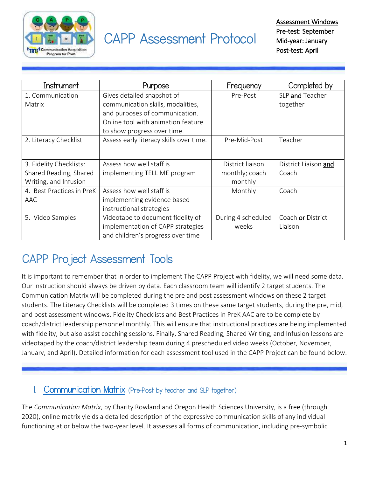

# CAPP Assessment Protocol

| Instrument                | Purpose                                 | Frequency          | Completed by         |
|---------------------------|-----------------------------------------|--------------------|----------------------|
| 1. Communication          | Gives detailed snapshot of              | Pre-Post           | SLP and Teacher      |
| Matrix                    | communication skills, modalities,       |                    | together             |
|                           | and purposes of communication.          |                    |                      |
|                           | Online tool with animation feature      |                    |                      |
|                           | to show progress over time.             |                    |                      |
| 2. Literacy Checklist     | Assess early literacy skills over time. | Pre-Mid-Post       | Teacher              |
|                           |                                         |                    |                      |
| 3. Fidelity Checklists:   | Assess how well staff is                | District liaison   | District Liaison and |
| Shared Reading, Shared    | implementing TELL ME program            | monthly; coach     | Coach                |
| Writing, and Infusion     |                                         | monthly            |                      |
| 4. Best Practices in PreK | Assess how well staff is                | Monthly            | Coach                |
| AAC                       | implementing evidence based             |                    |                      |
|                           | instructional strategies                |                    |                      |
| 5. Video Samples          | Videotape to document fidelity of       | During 4 scheduled | Coach or District    |
|                           | implementation of CAPP strategies       | weeks              | Liaison              |
|                           | and children's progress over time       |                    |                      |

# CAPP Project Assessment Tools

It is important to remember that in order to implement The CAPP Project with fidelity, we will need some data. Our instruction should always be driven by data. Each classroom team will identify 2 target students. The Communication Matrix will be completed during the pre and post assessment windows on these 2 target students. The Literacy Checklists will be completed 3 times on these same target students, during the pre, mid, and post assessment windows. Fidelity Checklists and Best Practices in PreK AAC are to be complete by coach/district leadership personnel monthly. This will ensure that instructional practices are being implemented with fidelity, but also assist coaching sessions. Finally, Shared Reading, Shared Writing, and Infusion lessons are videotaped by the coach/district leadership team during 4 prescheduled video weeks (October, November, January, and April). Detailed information for each assessment tool used in the CAPP Project can be found below.

#### [Communication Matrix](http://www.communicationmatrix.org/) (Pre-Post by teacher and SLP together)

The *Communication Matrix*, by Charity Rowland and Oregon Health Sciences University, is a free (through 2020), online matrix yields a detailed description of the expressive communication skills of any individual functioning at or below the two-year level. It assesses all forms of communication, including pre-symbolic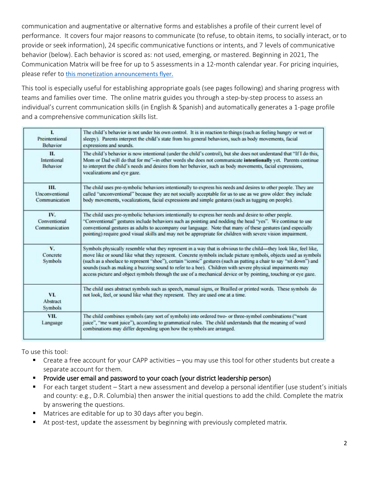communication and augmentative or alternative forms and establishes a profile of their current level of performance. It covers four major reasons to communicate (to refuse, to obtain items, to socially interact, or to provide or seek information), 24 specific communicative functions or intents, and 7 levels of communicative behavior (below). Each behavior is scored as: not used, emerging, or mastered. Beginning in 2021, The Communication Matrix will be free for up to 5 assessments in a 12-month calendar year. For pricing inquiries, please refer to [this monetization announcements flyer.](file:///C:/Users/an586999/Downloads/MonetizationAnnouncement6.11.20.pdf) 

This tool is especially useful for establishing appropriate goals (see pages following) and sharing progress with teams and families over time. The online matrix guides you through a step-by-step process to assess an individual's current communication skills (in English & Spanish) and automatically generates a 1-page profile and a comprehensive communication skills list.

| L<br>Preintentional<br>Behavior       | The child's behavior is not under his own control. It is in reaction to things (such as feeling hungry or wet or<br>sleepy). Parents interpret the child's state from his general behaviors, such as body movements, facial<br>expressions and sounds.                                                                                                                                                                                                                                                                                                                                  |  |
|---------------------------------------|-----------------------------------------------------------------------------------------------------------------------------------------------------------------------------------------------------------------------------------------------------------------------------------------------------------------------------------------------------------------------------------------------------------------------------------------------------------------------------------------------------------------------------------------------------------------------------------------|--|
| П.<br>Intentional<br>Behavior         | The child's behavior is now intentional (under the child's control), but she does not understand that "If I do this,<br>Mom or Dad will do that for me"-in other words she does not communicate intentionally yet. Parents continue<br>to interpret the child's needs and desires from her behavior, such as body movements, facial expressions,<br>vocalizations and eye gaze.                                                                                                                                                                                                         |  |
| Ш.<br>Unconventional<br>Communication | The child uses pre-symbolic behaviors intentionally to express his needs and desires to other people. They are<br>called "unconventional" because they are not socially acceptable for us to use as we grow older: they include<br>body movements, vocalizations, facial expressions and simple gestures (such as tugging on people).                                                                                                                                                                                                                                                   |  |
| IV.<br>Conventional<br>Communication  | The child uses pre-symbolic behaviors intentionally to express her needs and desire to other people.<br>"Conventional" gestures include behaviors such as pointing and nodding the head "yes". We continue to use<br>conventional gestures as adults to accompany our language. Note that many of these gestures (and especially<br>pointing) require good visual skills and may not be appropriate for children with severe vision impairment.                                                                                                                                         |  |
| V.<br>Concrete<br>Symbols             | Symbols physically resemble what they represent in a way that is obvious to the child—they look like, feel like,<br>move like or sound like what they represent. Concrete symbols include picture symbols, objects used as symbols<br>(such as a shoelace to represent "shoe"), certain "iconic" gestures (such as patting a chair to say "sit down") and<br>sounds (such as making a buzzing sound to refer to a bee). Children with severe physical impairments may<br>access picture and object symbols through the use of a mechanical device or by pointing, touching or eye gaze. |  |
| VI.<br><b>Abstract</b><br>Symbols     | The child uses abstract symbols such as speech, manual signs, or Brailled or printed words. These symbols do<br>not look, feel, or sound like what they represent. They are used one at a time.                                                                                                                                                                                                                                                                                                                                                                                         |  |
| VII.<br>Language                      | The child combines symbols (any sort of symbols) into ordered two- or three-symbol combinations ("want<br>juice", "me want juice"), according to grammatical rules. The child understands that the meaning of word<br>combinations may differ depending upon how the symbols are arranged.                                                                                                                                                                                                                                                                                              |  |

To use this tool:

- Create a free account for your CAPP activities you may use this tool for other students but create a separate account for them.
- Provide user email and password to your coach (your district leadership person)
- For each target student Start a new assessment and develop a personal identifier (use student's initials and county: e.g., D.R. Columbia) then answer the initial questions to add the child. Complete the matrix by answering the questions.
- Matrices are editable for up to 30 days after you begin.
- At post-test, update the assessment by beginning with previously completed matrix.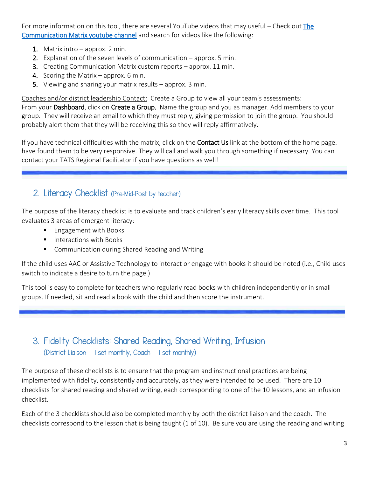For more information on this tool, there are several YouTube videos that may useful – Check out The [Communication Matrix youtube channel](https://www.youtube.com/channel/UCHrv-BX2bQDUWplLl2iXBDw) and search for videos like the following:

- 1. Matrix intro approx. 2 min.
- 2. Explanation of the seven levels of communication approx. 5 min.
- 3. Creating Communication Matrix custom reports approx. 11 min.
- 4. Scoring the Matrix approx. 6 min.
- 5. Viewing and sharing your matrix results approx. 3 min.

Coaches and/or district leadership Contact: Create a Group to view all your team's assessments:

From your Dashboard, click on Create a Group. Name the group and you as manager. Add members to your group. They will receive an email to which they must reply, giving permission to join the group. You should probably alert them that they will be receiving this so they will reply affirmatively.

If you have technical difficulties with the matrix, click on the **Contact Us** link at the bottom of the home page. I have found them to be very responsive. They will call and walk you through something if necessary. You can contact your TATS Regional Facilitator if you have questions as well!

#### 2. Literacy Checklist (Pre-Mid-Post by teacher)

The purpose of the literacy checklist is to evaluate and track children's early literacy skills over time. This tool evaluates 3 areas of emergent literacy:

- **Engagement with Books**
- Interactions with Books
- Communication during Shared Reading and Writing

If the child uses AAC or Assistive Technology to interact or engage with books it should be noted (i.e., Child uses switch to indicate a desire to turn the page.)

This tool is easy to complete for teachers who regularly read books with children independently or in small groups. If needed, sit and read a book with the child and then score the instrument.

#### 3. Fidelity Checklists: Shared Reading, Shared Writing, Infusion (District Liaison – 1 set monthly; Coach – 1 set monthly)

The purpose of these checklists is to ensure that the program and instructional practices are being implemented with fidelity, consistently and accurately, as they were intended to be used. There are 10 checklists for shared reading and shared writing, each corresponding to one of the 10 lessons, and an infusion checklist.

Each of the 3 checklists should also be completed monthly by both the district liaison and the coach. The checklists correspond to the lesson that is being taught (1 of 10). Be sure you are using the reading and writing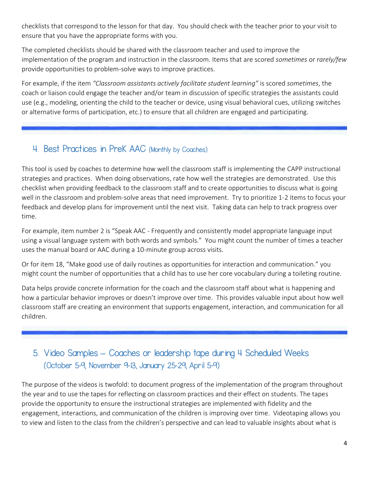checklists that correspond to the lesson for that day. You should check with the teacher prior to your visit to ensure that you have the appropriate forms with you.

The completed checklists should be shared with the classroom teacher and used to improve the implementation of the program and instruction in the classroom. Items that are scored *sometimes* or *rarely/few* provide opportunities to problem-solve ways to improve practices.

For example, if the item *"Classroom assistants actively facilitate student learning"* is scored *sometimes*, the coach or liaison could engage the teacher and/or team in discussion of specific strategies the assistants could use (e.g., modeling, orienting the child to the teacher or device, using visual behavioral cues, utilizing switches or alternative forms of participation, etc.) to ensure that all children are engaged and participating.

### 4. Best Practices in PreK AAC (Monthly by Coaches)

This tool is used by coaches to determine how well the classroom staff is implementing the CAPP instructional strategies and practices. When doing observations, rate how well the strategies are demonstrated. Use this checklist when providing feedback to the classroom staff and to create opportunities to discuss what is going well in the classroom and problem-solve areas that need improvement. Try to prioritize 1-2 items to focus your feedback and develop plans for improvement until the next visit. Taking data can help to track progress over time.

For example, item number 2 is "Speak AAC - Frequently and consistently model appropriate language input using a visual language system with both words and symbols." You might count the number of times a teacher uses the manual board or AAC during a 10-minute group across visits.

Or for item 18, "Make good use of daily routines as opportunities for interaction and communication." you might count the number of opportunities that a child has to use her core vocabulary during a toileting routine.

Data helps provide concrete information for the coach and the classroom staff about what is happening and how a particular behavior improves or doesn't improve over time. This provides valuable input about how well classroom staff are creating an environment that supports engagement, interaction, and communication for all children.

## 5. Video Samples **–** Coaches or leadership tape during 4 Scheduled Weeks (October 5-9, November 9-13, January 25-29, April 5-9)

The purpose of the videos is twofold: to document progress of the implementation of the program throughout the year and to use the tapes for reflecting on classroom practices and their effect on students. The tapes provide the opportunity to ensure the instructional strategies are implemented with fidelity and the engagement, interactions, and communication of the children is improving over time. Videotaping allows you to view and listen to the class from the children's perspective and can lead to valuable insights about what is